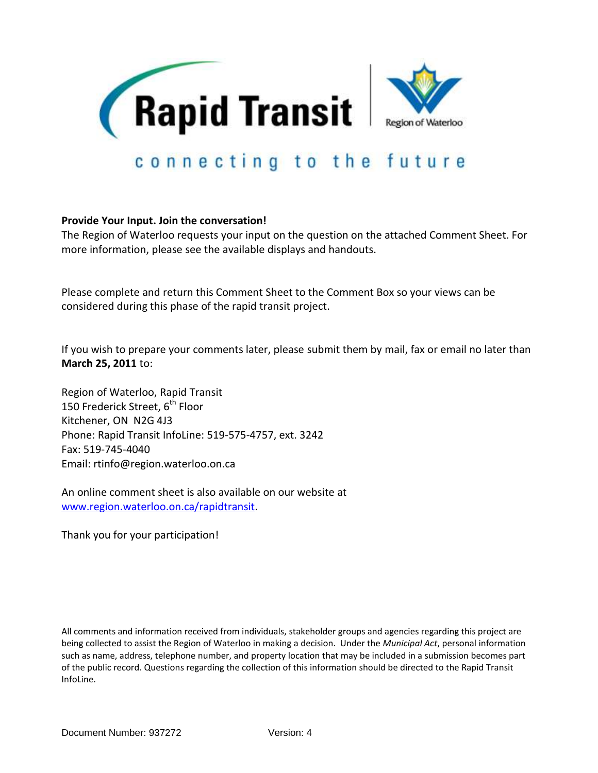

## **Provide Your Input. Join the conversation!**

The Region of Waterloo requests your input on the question on the attached Comment Sheet. For more information, please see the available displays and handouts.

Please complete and return this Comment Sheet to the Comment Box so your views can be considered during this phase of the rapid transit project.

If you wish to prepare your comments later, please submit them by mail, fax or email no later than **March 25, 2011** to:

Region of Waterloo, Rapid Transit 150 Frederick Street, 6<sup>th</sup> Floor Kitchener, ON N2G 4J3 Phone: Rapid Transit InfoLine: 519-575-4757, ext. 3242 Fax: 519-745-4040 Email: rtinfo@region.waterloo.on.ca

An online comment sheet is also available on our website at [www.region.waterloo.on.ca/rapidtransit.](http://www.region.waterloo.on.ca/rapidtransit)

Thank you for your participation!

All comments and information received from individuals, stakeholder groups and agencies regarding this project are being collected to assist the Region of Waterloo in making a decision. Under the *Municipal Act*, personal information such as name, address, telephone number, and property location that may be included in a submission becomes part of the public record. Questions regarding the collection of this information should be directed to the Rapid Transit InfoLine.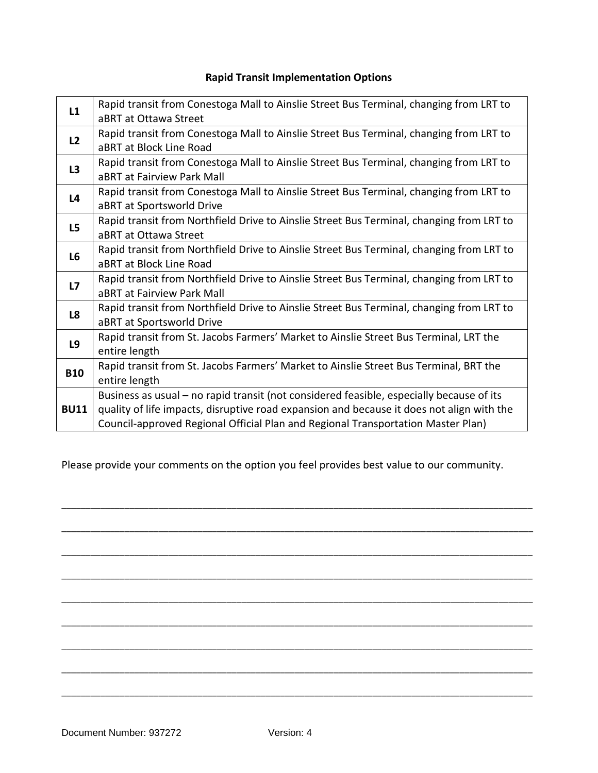## **Rapid Transit Implementation Options**

| L1                   | Rapid transit from Conestoga Mall to Ainslie Street Bus Terminal, changing from LRT to    |
|----------------------|-------------------------------------------------------------------------------------------|
|                      | aBRT at Ottawa Street                                                                     |
| L <sub>2</sub><br>L3 | Rapid transit from Conestoga Mall to Ainslie Street Bus Terminal, changing from LRT to    |
|                      | aBRT at Block Line Road                                                                   |
|                      | Rapid transit from Conestoga Mall to Ainslie Street Bus Terminal, changing from LRT to    |
| L <sub>4</sub>       | aBRT at Fairview Park Mall                                                                |
|                      | Rapid transit from Conestoga Mall to Ainslie Street Bus Terminal, changing from LRT to    |
|                      | aBRT at Sportsworld Drive                                                                 |
| L5                   | Rapid transit from Northfield Drive to Ainslie Street Bus Terminal, changing from LRT to  |
|                      | aBRT at Ottawa Street                                                                     |
| L6                   | Rapid transit from Northfield Drive to Ainslie Street Bus Terminal, changing from LRT to  |
|                      | aBRT at Block Line Road                                                                   |
| L7                   | Rapid transit from Northfield Drive to Ainslie Street Bus Terminal, changing from LRT to  |
|                      | aBRT at Fairview Park Mall                                                                |
| L <sub>8</sub>       | Rapid transit from Northfield Drive to Ainslie Street Bus Terminal, changing from LRT to  |
|                      | aBRT at Sportsworld Drive                                                                 |
| L9                   | Rapid transit from St. Jacobs Farmers' Market to Ainslie Street Bus Terminal, LRT the     |
|                      | entire length                                                                             |
| <b>B10</b>           | Rapid transit from St. Jacobs Farmers' Market to Ainslie Street Bus Terminal, BRT the     |
|                      | entire length                                                                             |
| <b>BU11</b>          | Business as usual – no rapid transit (not considered feasible, especially because of its  |
|                      | quality of life impacts, disruptive road expansion and because it does not align with the |
|                      | Council-approved Regional Official Plan and Regional Transportation Master Plan)          |

Please provide your comments on the option you feel provides best value to our community.

\_\_\_\_\_\_\_\_\_\_\_\_\_\_\_\_\_\_\_\_\_\_\_\_\_\_\_\_\_\_\_\_\_\_\_\_\_\_\_\_\_\_\_\_\_\_\_\_\_\_\_\_\_\_\_\_\_\_\_\_\_\_\_\_\_\_\_\_\_\_\_\_\_\_\_\_\_\_\_\_\_\_\_\_\_\_\_\_\_\_\_\_\_\_\_\_\_

\_\_\_\_\_\_\_\_\_\_\_\_\_\_\_\_\_\_\_\_\_\_\_\_\_\_\_\_\_\_\_\_\_\_\_\_\_\_\_\_\_\_\_\_\_\_\_\_\_\_\_\_\_\_\_\_\_\_\_\_\_\_\_\_\_\_\_\_\_\_\_\_\_\_\_\_\_\_\_\_\_\_\_\_\_\_\_\_\_\_\_\_\_\_\_\_\_

\_\_\_\_\_\_\_\_\_\_\_\_\_\_\_\_\_\_\_\_\_\_\_\_\_\_\_\_\_\_\_\_\_\_\_\_\_\_\_\_\_\_\_\_\_\_\_\_\_\_\_\_\_\_\_\_\_\_\_\_\_\_\_\_\_\_\_\_\_\_\_\_\_\_\_\_\_\_\_\_\_\_\_\_\_\_\_\_\_\_\_\_\_\_\_\_\_

\_\_\_\_\_\_\_\_\_\_\_\_\_\_\_\_\_\_\_\_\_\_\_\_\_\_\_\_\_\_\_\_\_\_\_\_\_\_\_\_\_\_\_\_\_\_\_\_\_\_\_\_\_\_\_\_\_\_\_\_\_\_\_\_\_\_\_\_\_\_\_\_\_\_\_\_\_\_\_\_\_\_\_\_\_\_\_\_\_\_\_\_\_\_\_\_\_

\_\_\_\_\_\_\_\_\_\_\_\_\_\_\_\_\_\_\_\_\_\_\_\_\_\_\_\_\_\_\_\_\_\_\_\_\_\_\_\_\_\_\_\_\_\_\_\_\_\_\_\_\_\_\_\_\_\_\_\_\_\_\_\_\_\_\_\_\_\_\_\_\_\_\_\_\_\_\_\_\_\_\_\_\_\_\_\_\_\_\_\_\_\_\_\_\_

\_\_\_\_\_\_\_\_\_\_\_\_\_\_\_\_\_\_\_\_\_\_\_\_\_\_\_\_\_\_\_\_\_\_\_\_\_\_\_\_\_\_\_\_\_\_\_\_\_\_\_\_\_\_\_\_\_\_\_\_\_\_\_\_\_\_\_\_\_\_\_\_\_\_\_\_\_\_\_\_\_\_\_\_\_\_\_\_\_\_\_\_\_\_\_\_\_

\_\_\_\_\_\_\_\_\_\_\_\_\_\_\_\_\_\_\_\_\_\_\_\_\_\_\_\_\_\_\_\_\_\_\_\_\_\_\_\_\_\_\_\_\_\_\_\_\_\_\_\_\_\_\_\_\_\_\_\_\_\_\_\_\_\_\_\_\_\_\_\_\_\_\_\_\_\_\_\_\_\_\_\_\_\_\_\_\_\_\_\_\_\_\_\_\_

\_\_\_\_\_\_\_\_\_\_\_\_\_\_\_\_\_\_\_\_\_\_\_\_\_\_\_\_\_\_\_\_\_\_\_\_\_\_\_\_\_\_\_\_\_\_\_\_\_\_\_\_\_\_\_\_\_\_\_\_\_\_\_\_\_\_\_\_\_\_\_\_\_\_\_\_\_\_\_\_\_\_\_\_\_\_\_\_\_\_\_\_\_\_\_\_\_

\_\_\_\_\_\_\_\_\_\_\_\_\_\_\_\_\_\_\_\_\_\_\_\_\_\_\_\_\_\_\_\_\_\_\_\_\_\_\_\_\_\_\_\_\_\_\_\_\_\_\_\_\_\_\_\_\_\_\_\_\_\_\_\_\_\_\_\_\_\_\_\_\_\_\_\_\_\_\_\_\_\_\_\_\_\_\_\_\_\_\_\_\_\_\_\_\_